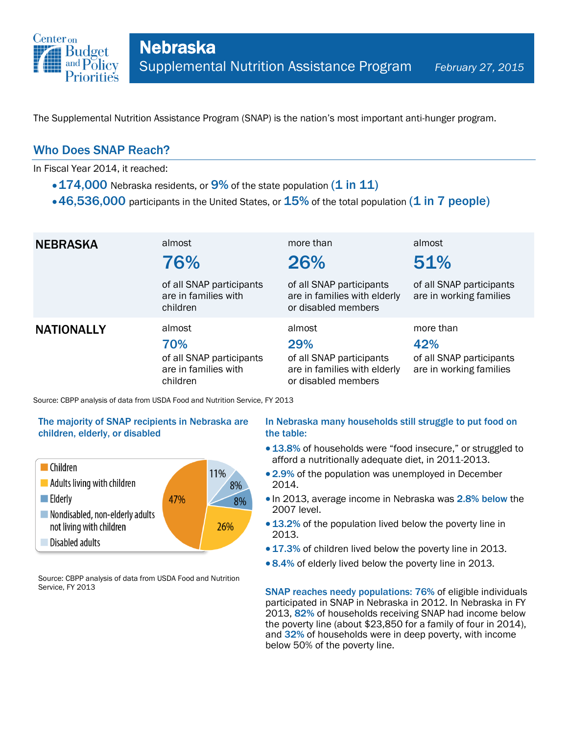

The Supplemental Nutrition Assistance Program (SNAP) is the nation's most important anti-hunger program.

## Who Does SNAP Reach?

In Fiscal Year 2014, it reached:

- $\cdot$  174,000 Nebraska residents, or 9% of the state population (1 in 11)
- $\cdot$  46,536,000 participants in the United States, or  $15\%$  of the total population (1 in 7 people)

| <b>NEBRASKA</b>   | almost<br>76%                                                                 | more than<br>26%                                                                                 | almost<br>51%                                                           |
|-------------------|-------------------------------------------------------------------------------|--------------------------------------------------------------------------------------------------|-------------------------------------------------------------------------|
|                   | of all SNAP participants<br>are in families with<br>children                  | of all SNAP participants<br>are in families with elderly<br>or disabled members                  | of all SNAP participants<br>are in working families                     |
| <b>NATIONALLY</b> | almost<br>70%<br>of all SNAP participants<br>are in families with<br>children | almost<br>29%<br>of all SNAP participants<br>are in families with elderly<br>or disabled members | more than<br>42%<br>of all SNAP participants<br>are in working families |

Source: CBPP analysis of data from USDA Food and Nutrition Service, FY 2013

### The majority of SNAP recipients in Nebraska are children, elderly, or disabled



Source: CBPP analysis of data from USDA Food and Nutrition Service, FY 2013

#### In Nebraska many households still struggle to put food on the table:

- 13.8% of households were "food insecure," or struggled to afford a nutritionally adequate diet, in 2011-2013.
- 2.9% of the population was unemployed in December 2014.
- In 2013, average income in Nebraska was 2.8% below the 2007 level.
- 13.2% of the population lived below the poverty line in 2013.
- 17.3% of children lived below the poverty line in 2013.
- 8.4% of elderly lived below the poverty line in 2013.

SNAP reaches needy populations: 76% of eligible individuals participated in SNAP in Nebraska in 2012. In Nebraska in FY 2013, 82% of households receiving SNAP had income below the poverty line (about \$23,850 for a family of four in 2014), and 32% of households were in deep poverty, with income below 50% of the poverty line.